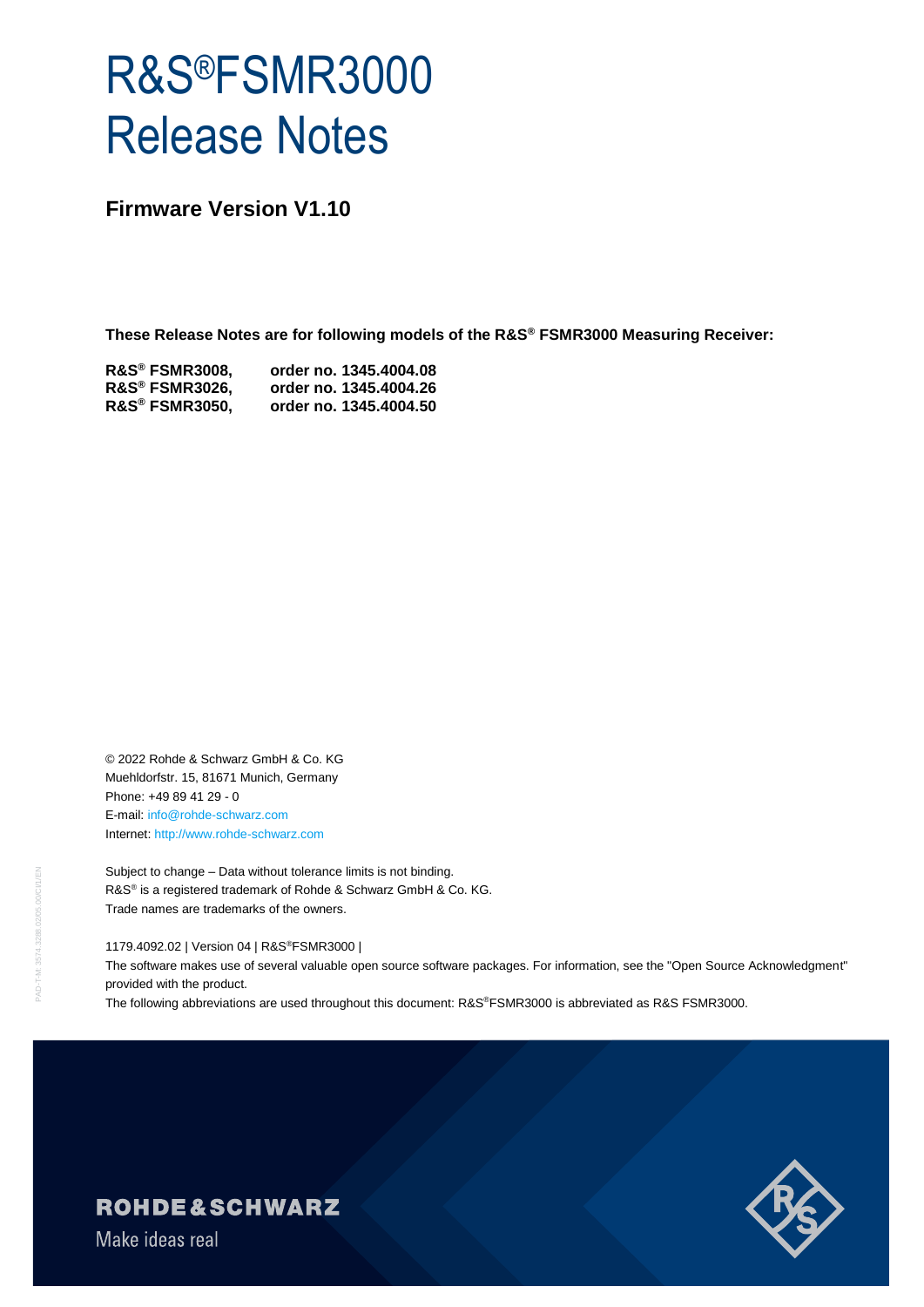# R&S®FSMR3000 Release Notes

**Firmware Version V1.10**

**These Release Notes are for following models of the R&S® FSMR3000 Measuring Receiver:**

| <b>R&amp;S® FSMR3008,</b> | order no. 1345.4004.08 |
|---------------------------|------------------------|
| <b>R&amp;S® FSMR3026,</b> | order no. 1345.4004.26 |
| <b>R&amp;S® FSMR3050,</b> | order no. 1345.4004.50 |

© 2022 Rohde & Schwarz GmbH & Co. KG Muehldorfstr. 15, 81671 Munich, Germany Phone: +49 89 41 29 - 0 E-mail: [info@rohde-schwarz.com](mailto:info@rohde-schwarz.com) Internet[: http://www.rohde-schwarz.com](http://www.rohde-schwarz.com/)

Subject to change – Data without tolerance limits is not binding. R&S<sup>®</sup> is a registered trademark of Rohde & Schwarz GmbH & Co. KG. Trade names are trademarks of the owners.

1179.4092.02 | Version 04 | R&S®FSMR3000 |

The software makes use of several valuable open source software packages. For information, see the "Open Source Acknowledgment" provided with the product.

The following abbreviations are used throughout this document: R&S®FSMR3000 is abbreviated as R&S FSMR3000.



**ROHDE&SCHWARZ** 

Make ideas real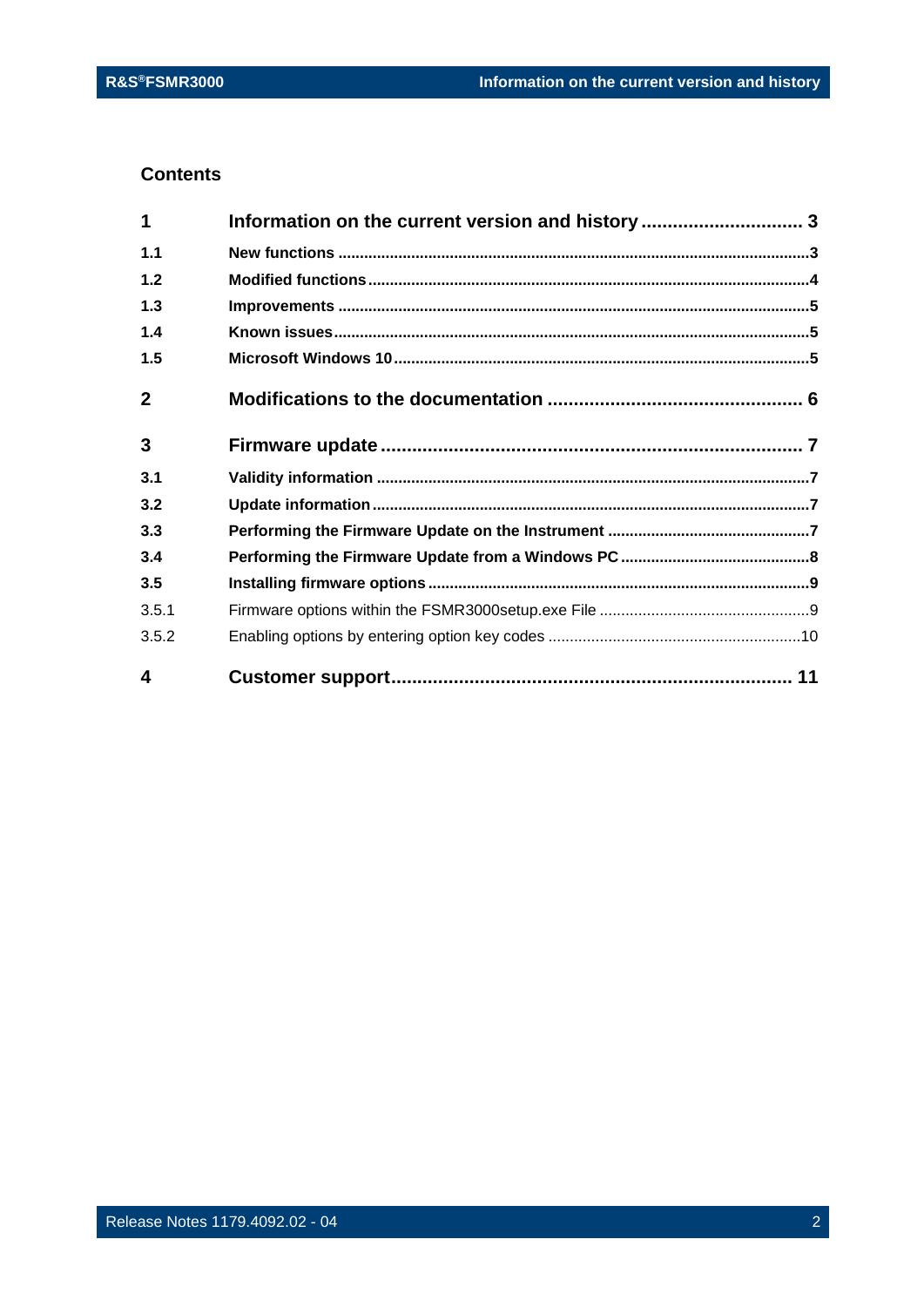## **Contents**

| 4            |                                                  |  |
|--------------|--------------------------------------------------|--|
| 3.5.2        |                                                  |  |
| 3.5.1        |                                                  |  |
| 3.5          |                                                  |  |
| 3.4          |                                                  |  |
| 3.3          |                                                  |  |
| 3.2          |                                                  |  |
| 3.1          |                                                  |  |
| 3            |                                                  |  |
| $\mathbf{2}$ |                                                  |  |
| 1.5          |                                                  |  |
| 1.4          |                                                  |  |
| 1.3          |                                                  |  |
| 1.2          |                                                  |  |
| $1.1$        |                                                  |  |
| 1            | Information on the current version and history 3 |  |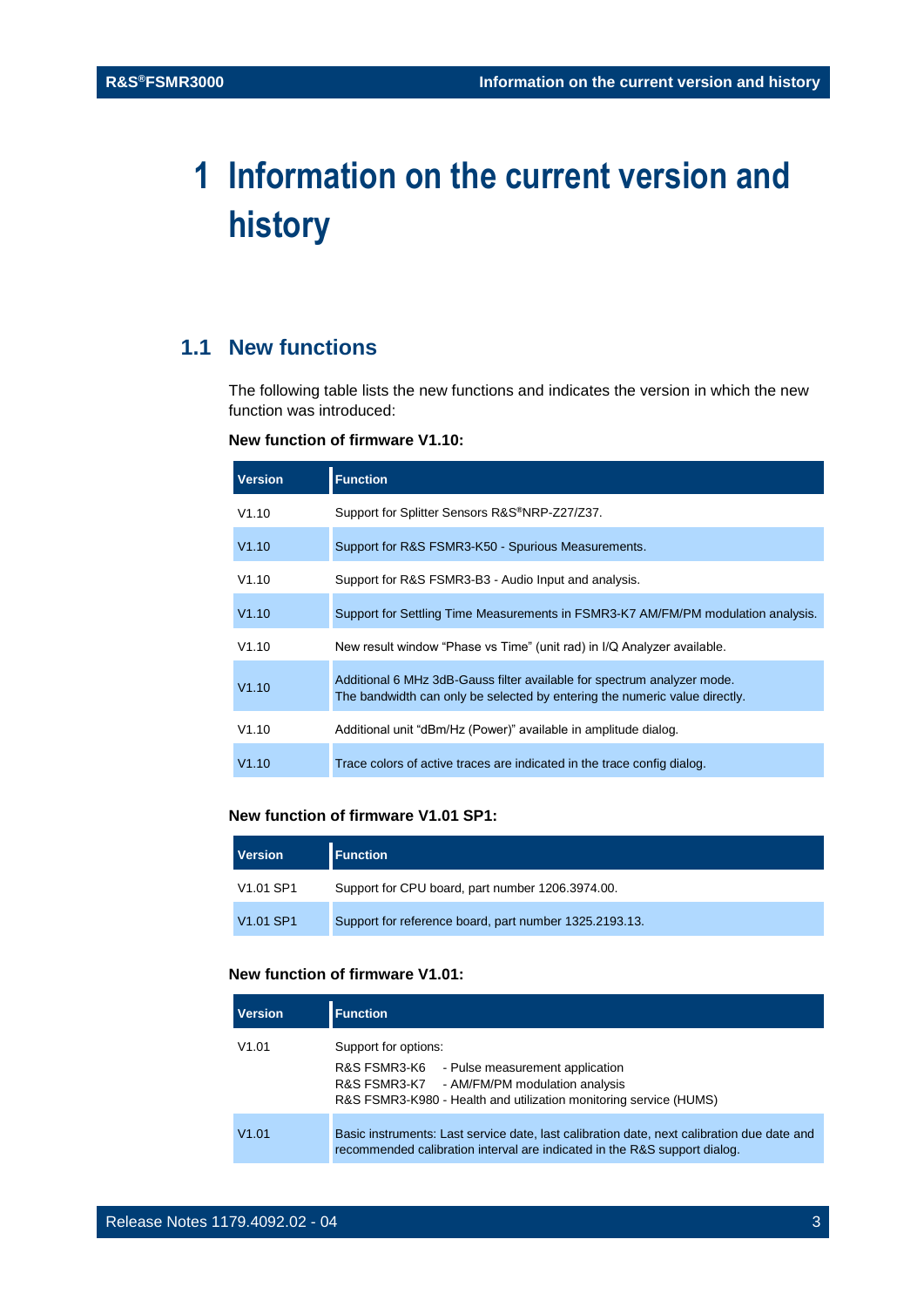## <span id="page-2-0"></span>**1 Information on the current version and history**

## <span id="page-2-1"></span>**1.1 New functions**

The following table lists the new functions and indicates the version in which the new function was introduced:

#### **New function of firmware V1.10:**

| <b>Version</b> | <b>Function</b>                                                                                                                                       |
|----------------|-------------------------------------------------------------------------------------------------------------------------------------------------------|
| V1.10          | Support for Splitter Sensors R&S®NRP-Z27/Z37.                                                                                                         |
| V1.10          | Support for R&S FSMR3-K50 - Spurious Measurements.                                                                                                    |
| V1.10          | Support for R&S FSMR3-B3 - Audio Input and analysis.                                                                                                  |
| V1.10          | Support for Settling Time Measurements in FSMR3-K7 AM/FM/PM modulation analysis.                                                                      |
| V1.10          | New result window "Phase vs Time" (unit rad) in I/Q Analyzer available.                                                                               |
| V1.10          | Additional 6 MHz 3dB-Gauss filter available for spectrum analyzer mode.<br>The bandwidth can only be selected by entering the numeric value directly. |
| V1.10          | Additional unit "dBm/Hz (Power)" available in amplitude dialog.                                                                                       |
| V1.10          | Trace colors of active traces are indicated in the trace config dialog.                                                                               |

#### **New function of firmware V1.01 SP1:**

| <b>Version</b>                    | <b>Function</b>                                        |
|-----------------------------------|--------------------------------------------------------|
| V <sub>1.01</sub> SP <sub>1</sub> | Support for CPU board, part number 1206.3974.00.       |
| V <sub>1.01</sub> SP <sub>1</sub> | Support for reference board, part number 1325.2193.13. |

### **New function of firmware V1.01:**

| <b>Version</b> | <b>Function</b>                                                                                                                                                                             |
|----------------|---------------------------------------------------------------------------------------------------------------------------------------------------------------------------------------------|
| V1.01          | Support for options:<br>R&S FSMR3-K6<br>- Pulse measurement application<br>R&S FSMR3-K7 - AM/FM/PM modulation analysis<br>R&S FSMR3-K980 - Health and utilization monitoring service (HUMS) |
| V1.01          | Basic instruments: Last service date, last calibration date, next calibration due date and<br>recommended calibration interval are indicated in the R&S support dialog.                     |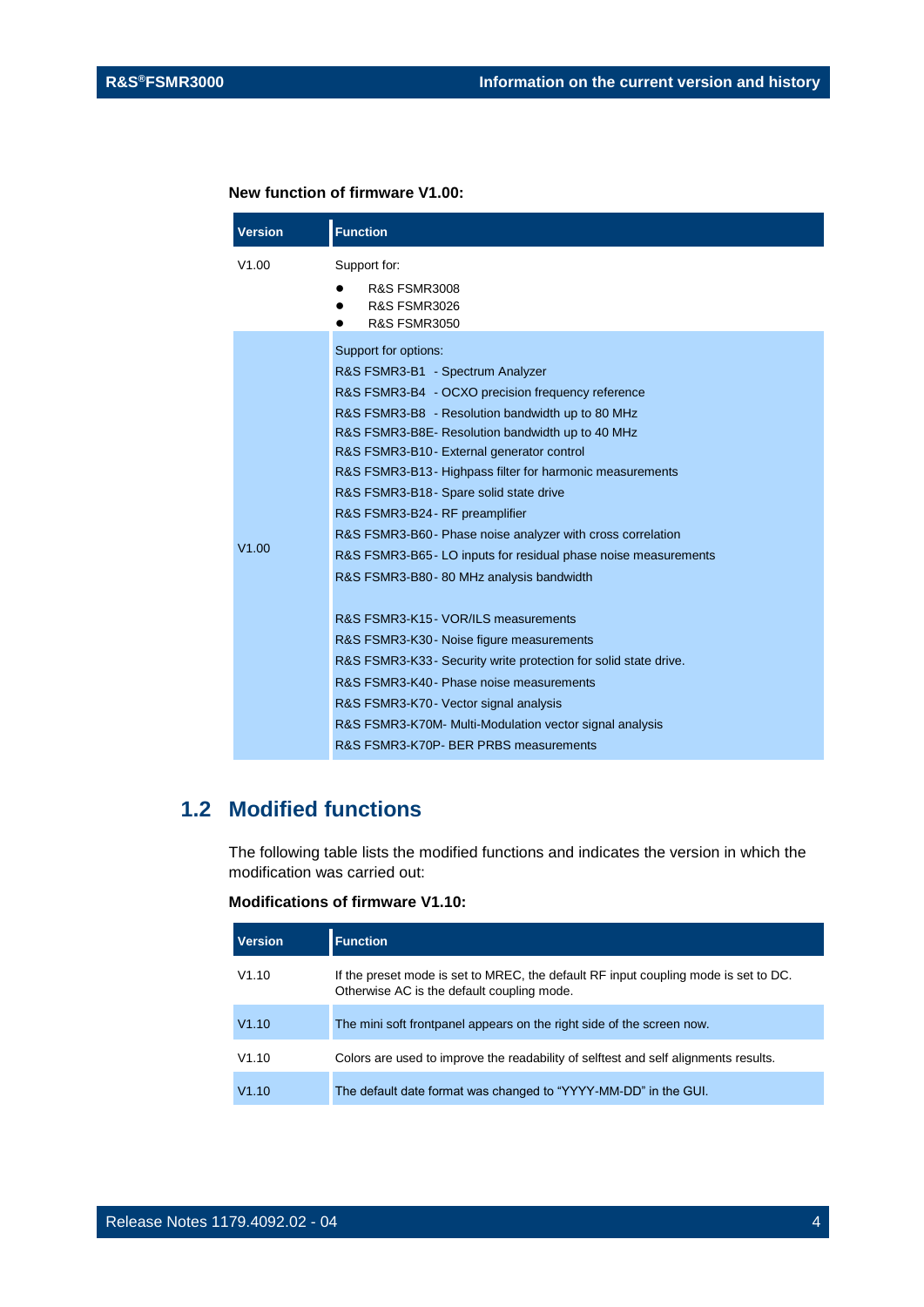#### **New function of firmware V1.00:**

| <b>Version</b> | <b>Function</b>                                                                                                                                                                                                                                                                                                                                                                                                                                                                                                                                                                                                                                                                                                                                                                                                                                                                                                                               |
|----------------|-----------------------------------------------------------------------------------------------------------------------------------------------------------------------------------------------------------------------------------------------------------------------------------------------------------------------------------------------------------------------------------------------------------------------------------------------------------------------------------------------------------------------------------------------------------------------------------------------------------------------------------------------------------------------------------------------------------------------------------------------------------------------------------------------------------------------------------------------------------------------------------------------------------------------------------------------|
| V1.00          | Support for:<br><b>R&amp;S FSMR3008</b><br><b>R&amp;S FSMR3026</b><br><b>R&amp;S FSMR3050</b>                                                                                                                                                                                                                                                                                                                                                                                                                                                                                                                                                                                                                                                                                                                                                                                                                                                 |
| V1.00          | Support for options:<br>R&S FSMR3-B1 - Spectrum Analyzer<br>R&S FSMR3-B4 - OCXO precision frequency reference<br>R&S FSMR3-B8 - Resolution bandwidth up to 80 MHz<br>R&S FSMR3-B8E- Resolution bandwidth up to 40 MHz<br>R&S FSMR3-B10 - External generator control<br>R&S FSMR3-B13-Highpass filter for harmonic measurements<br>R&S FSMR3-B18 - Spare solid state drive<br>R&S FSMR3-B24 - RF preamplifier<br>R&S FSMR3-B60- Phase noise analyzer with cross correlation<br>R&S FSMR3-B65 - LO inputs for residual phase noise measurements<br>R&S FSMR3-B80 - 80 MHz analysis bandwidth<br>R&S FSMR3-K15 - VOR/ILS measurements<br>R&S FSMR3-K30 - Noise figure measurements<br>R&S FSMR3-K33 - Security write protection for solid state drive.<br>R&S FSMR3-K40 - Phase noise measurements<br>R&S FSMR3-K70 - Vector signal analysis<br>R&S FSMR3-K70M- Multi-Modulation vector signal analysis<br>R&S FSMR3-K70P- BER PRBS measurements |

## <span id="page-3-0"></span>**1.2 Modified functions**

The following table lists the modified functions and indicates the version in which the modification was carried out:

#### **Modifications of firmware V1.10:**

| <b>Version</b> | <b>Function</b>                                                                                                                   |
|----------------|-----------------------------------------------------------------------------------------------------------------------------------|
| V1.10          | If the preset mode is set to MREC, the default RF input coupling mode is set to DC.<br>Otherwise AC is the default coupling mode. |
| V1.10          | The mini soft frontpanel appears on the right side of the screen now.                                                             |
| V1.10          | Colors are used to improve the readability of selftest and self alignments results.                                               |
| V1.10          | The default date format was changed to "YYYY-MM-DD" in the GUI.                                                                   |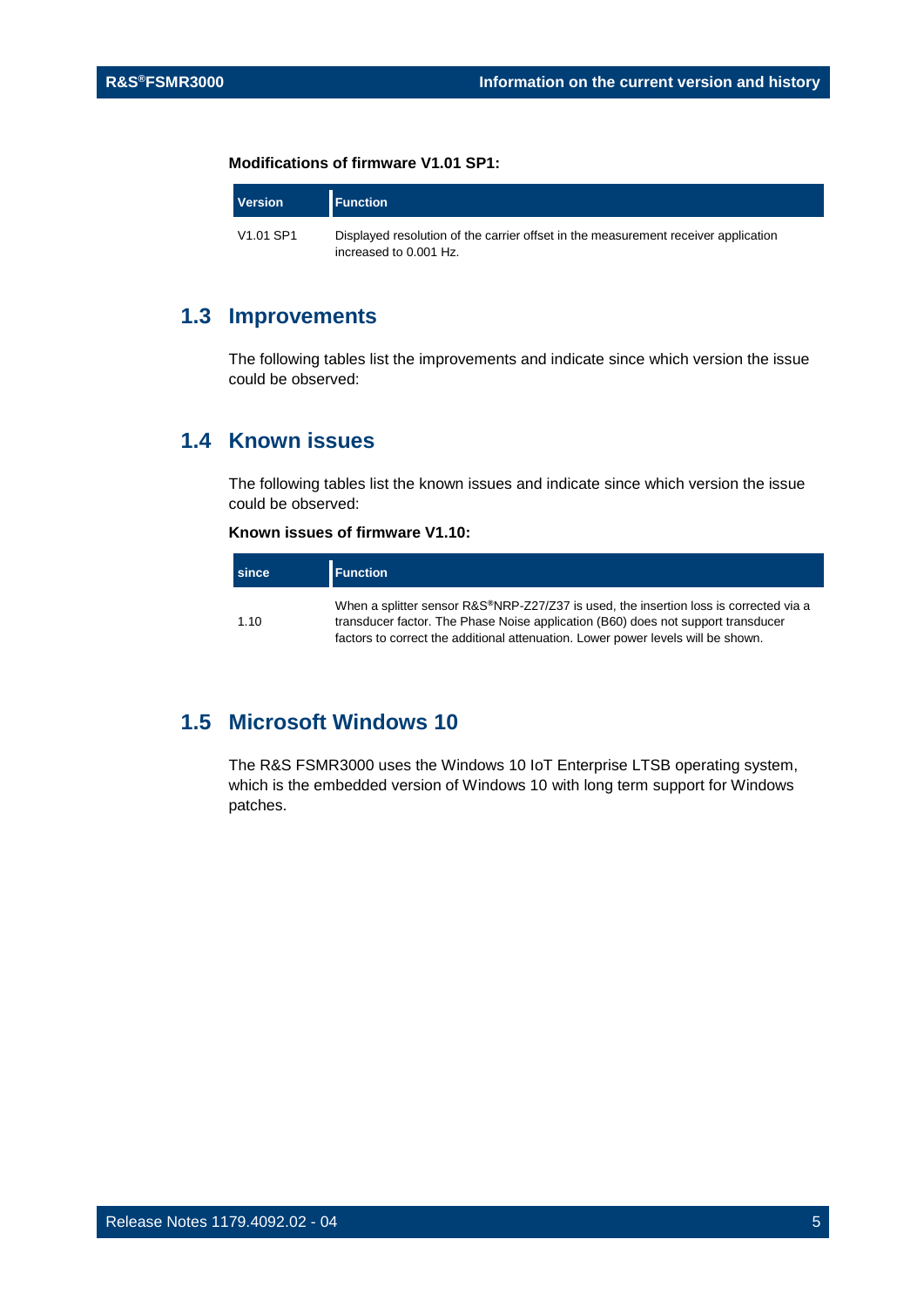#### **Modifications of firmware V1.01 SP1:**

| <b>Version</b>                    | <b>Function</b>                                                                                              |
|-----------------------------------|--------------------------------------------------------------------------------------------------------------|
| V <sub>1.01</sub> SP <sub>1</sub> | Displayed resolution of the carrier offset in the measurement receiver application<br>increased to 0.001 Hz. |

## <span id="page-4-0"></span>**1.3 Improvements**

<span id="page-4-1"></span>The following tables list the improvements and indicate since which version the issue could be observed:

## **1.4 Known issues**

The following tables list the known issues and indicate since which version the issue could be observed:

### **Known issues of firmware V1.10:**

| <b>since</b> | <b>Function</b>                                                                                                                                                                                                                                               |
|--------------|---------------------------------------------------------------------------------------------------------------------------------------------------------------------------------------------------------------------------------------------------------------|
| 1.10         | When a splitter sensor R&S®NRP-Z27/Z37 is used, the insertion loss is corrected via a<br>transducer factor. The Phase Noise application (B60) does not support transducer<br>factors to correct the additional attenuation. Lower power levels will be shown. |

## <span id="page-4-2"></span>**1.5 Microsoft Windows 10**

The R&S FSMR3000 uses the Windows 10 IoT Enterprise LTSB operating system, which is the embedded version of Windows 10 with long term support for Windows patches.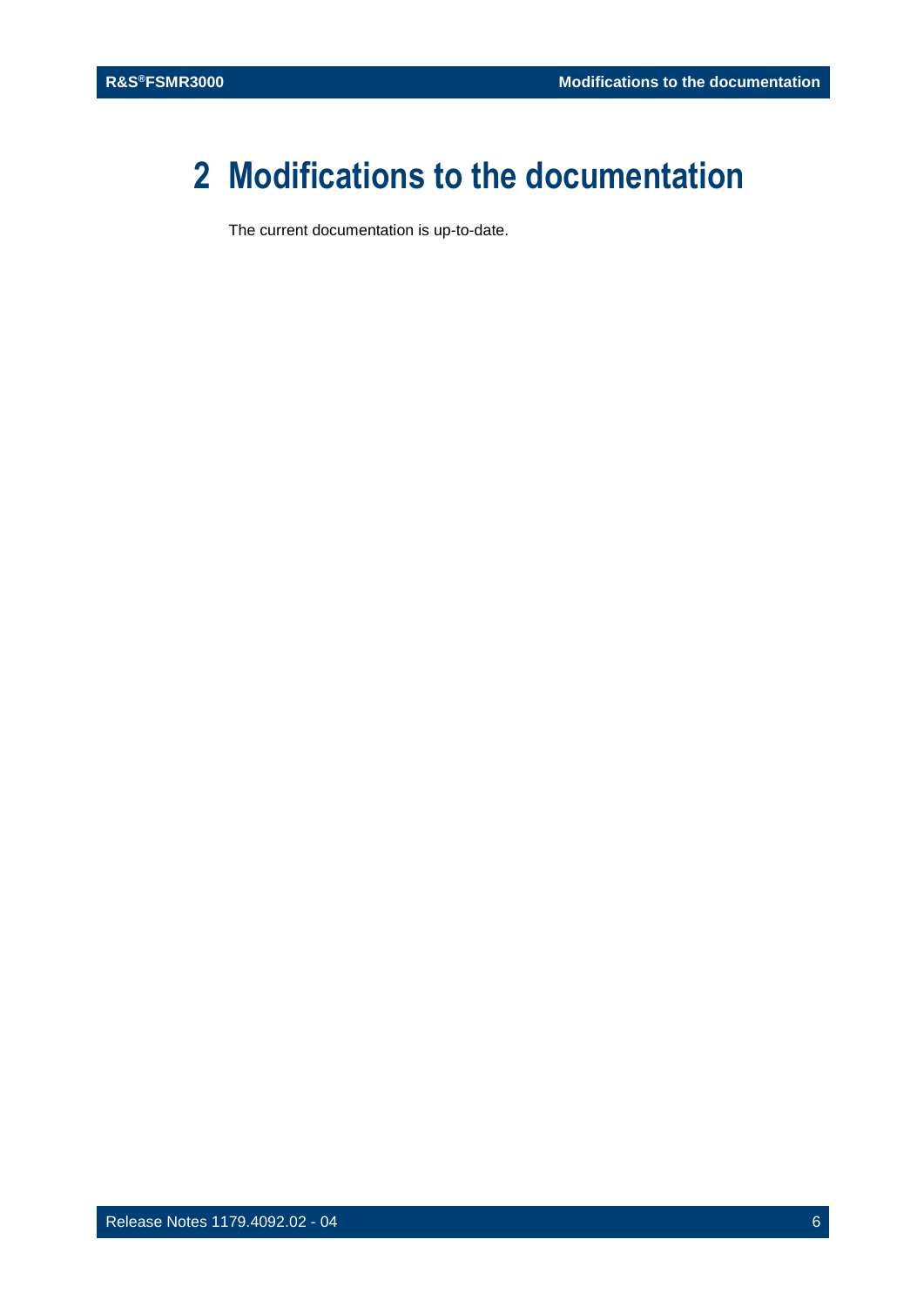## <span id="page-5-0"></span>**2 Modifications to the documentation**

The current documentation is up-to-date.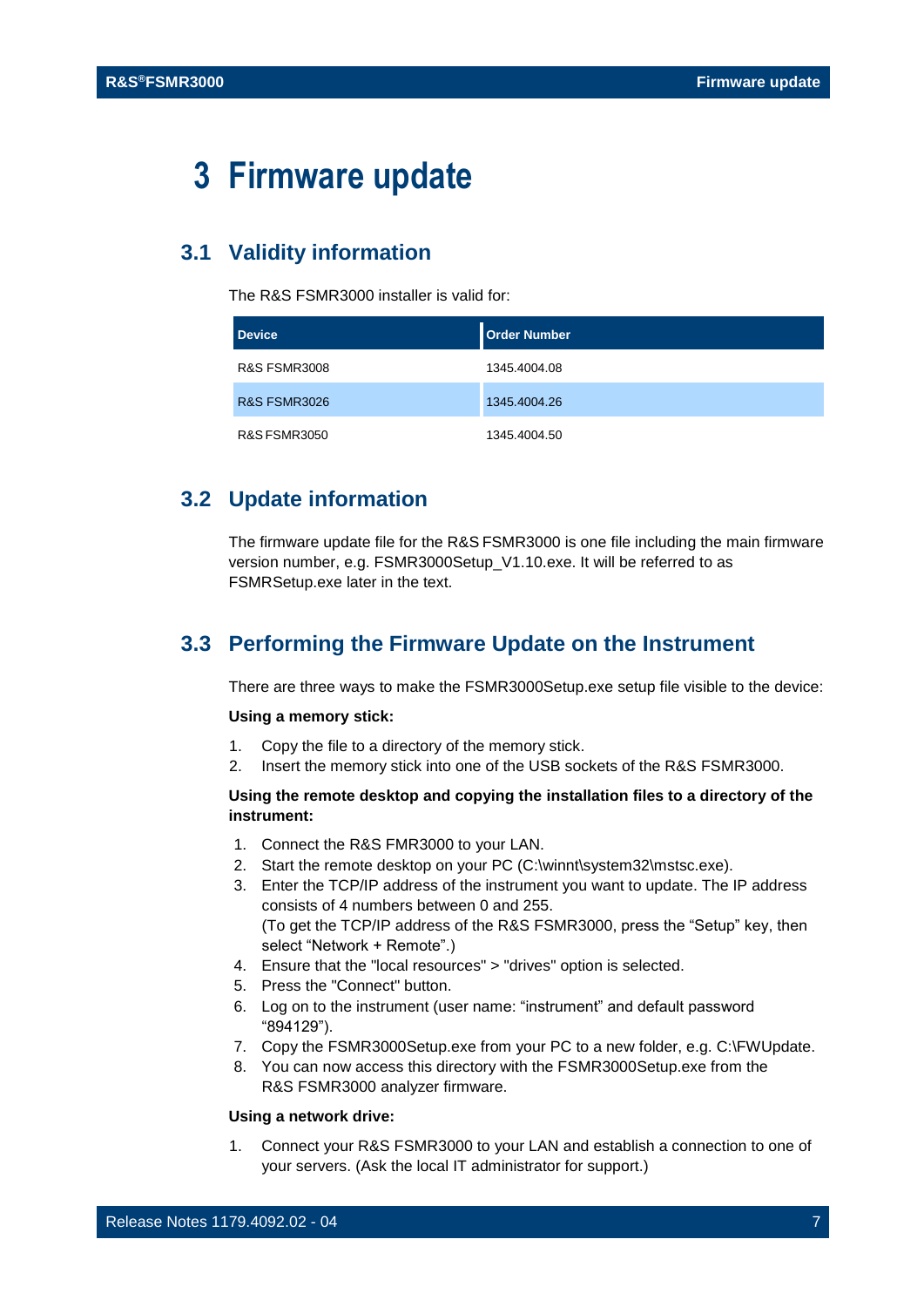## <span id="page-6-0"></span>**3 Firmware update**

## <span id="page-6-1"></span>**3.1 Validity information**

The R&S FSMR3000 installer is valid for:

| <b>Device</b>           | <b>Order Number</b> |
|-------------------------|---------------------|
| <b>R&amp;S FSMR3008</b> | 1345.4004.08        |
| <b>R&amp;S FSMR3026</b> | 1345.4004.26        |
| <b>R&amp;S FSMR3050</b> | 1345.4004.50        |

## <span id="page-6-2"></span>**3.2 Update information**

The firmware update file for the R&S FSMR3000 is one file including the main firmware version number, e.g. FSMR3000Setup\_V1.10.exe. It will be referred to as FSMRSetup.exe later in the text.

## <span id="page-6-3"></span>**3.3 Performing the Firmware Update on the Instrument**

There are three ways to make the FSMR3000Setup.exe setup file visible to the device:

#### **Using a memory stick:**

- 1. Copy the file to a directory of the memory stick.
- 2. Insert the memory stick into one of the USB sockets of the R&S FSMR3000.

#### **Using the remote desktop and copying the installation files to a directory of the instrument:**

- 1. Connect the R&S FMR3000 to your LAN.
- 2. Start the remote desktop on your PC (C:\winnt\system32\mstsc.exe).
- 3. Enter the TCP/IP address of the instrument you want to update. The IP address consists of 4 numbers between 0 and 255. (To get the TCP/IP address of the R&S FSMR3000, press the "Setup" key, then select "Network + Remote".)
- 4. Ensure that the "local resources" > "drives" option is selected.
- 5. Press the "Connect" button.
- 6. Log on to the instrument (user name: "instrument" and default password "894129").
- 7. Copy the FSMR3000Setup.exe from your PC to a new folder, e.g. C:\FWUpdate.
- 8. You can now access this directory with the FSMR3000Setup.exe from the R&S FSMR3000 analyzer firmware.

#### **Using a network drive:**

1. Connect your R&S FSMR3000 to your LAN and establish a connection to one of your servers. (Ask the local IT administrator for support.)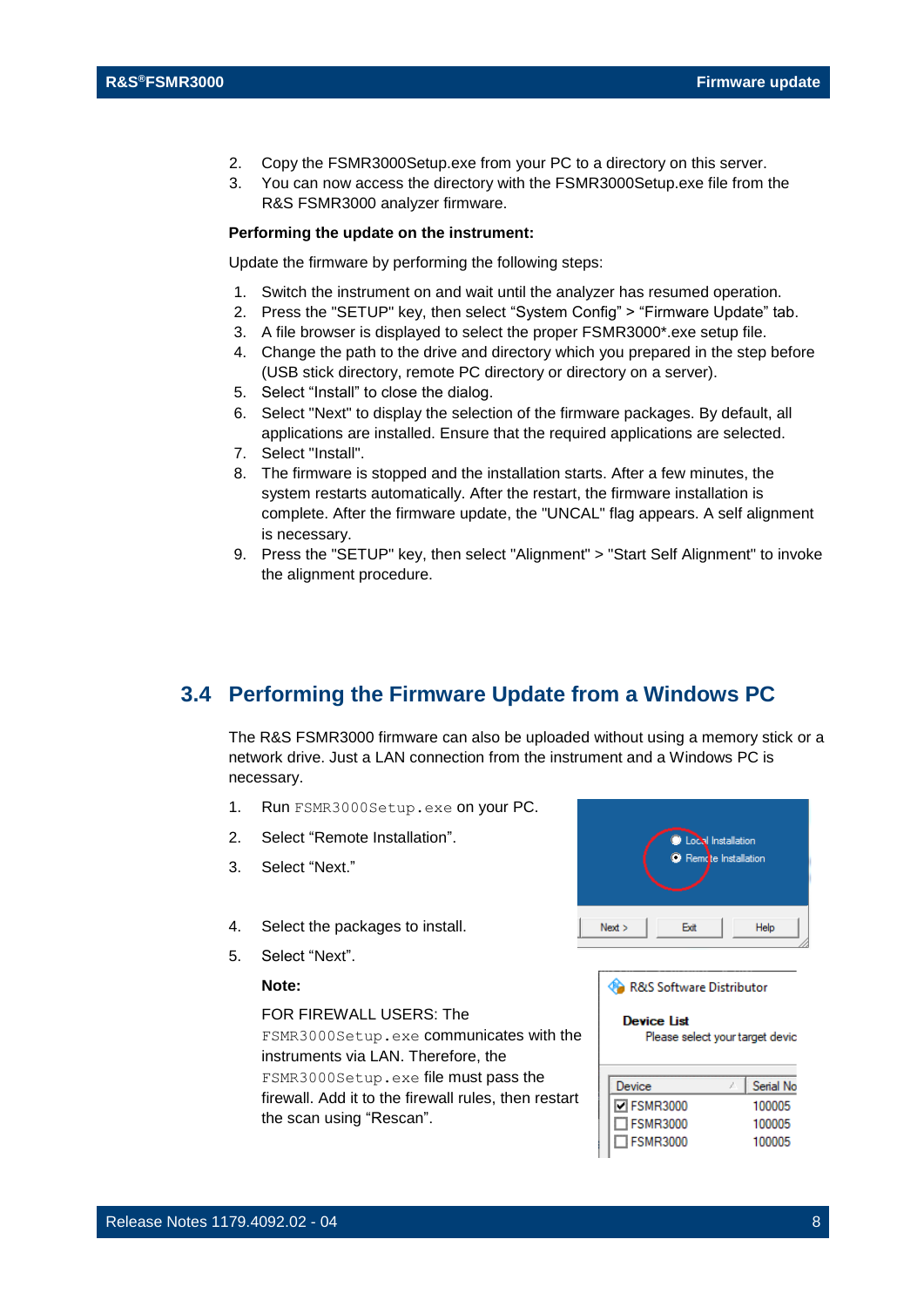- 2. Copy the FSMR3000Setup.exe from your PC to a directory on this server.
- 3. You can now access the directory with the FSMR3000Setup.exe file from the R&S FSMR3000 analyzer firmware.

#### **Performing the update on the instrument:**

Update the firmware by performing the following steps:

- 1. Switch the instrument on and wait until the analyzer has resumed operation.
- 2. Press the "SETUP" key, then select "System Config" > "Firmware Update" tab.
- 3. A file browser is displayed to select the proper FSMR3000\*.exe setup file.
- 4. Change the path to the drive and directory which you prepared in the step before (USB stick directory, remote PC directory or directory on a server).
- 5. Select "Install" to close the dialog.
- 6. Select "Next" to display the selection of the firmware packages. By default, all applications are installed. Ensure that the required applications are selected.
- 7. Select "Install".
- 8. The firmware is stopped and the installation starts. After a few minutes, the system restarts automatically. After the restart, the firmware installation is complete. After the firmware update, the "UNCAL" flag appears. A self alignment is necessary.
- 9. Press the "SETUP" key, then select "Alignment" > "Start Self Alignment" to invoke the alignment procedure.

## <span id="page-7-0"></span>**3.4 Performing the Firmware Update from a Windows PC**

The R&S FSMR3000 firmware can also be uploaded without using a memory stick or a network drive. Just a LAN connection from the instrument and a Windows PC is necessary.

- 1. Run FSMR3000Setup.exe on your PC.
- 2. Select "Remote Installation".
- 3. Select "Next."
- 4. Select the packages to install.
- 5. Select "Next".

#### **Note:**

FOR FIREWALL USERS: The

FSMR3000Setup.exe communicates with the instruments via LAN. Therefore, the FSMR3000Setup.exe file must pass the firewall. Add it to the firewall rules, then restart the scan using "Rescan".



R&S Software Distributor

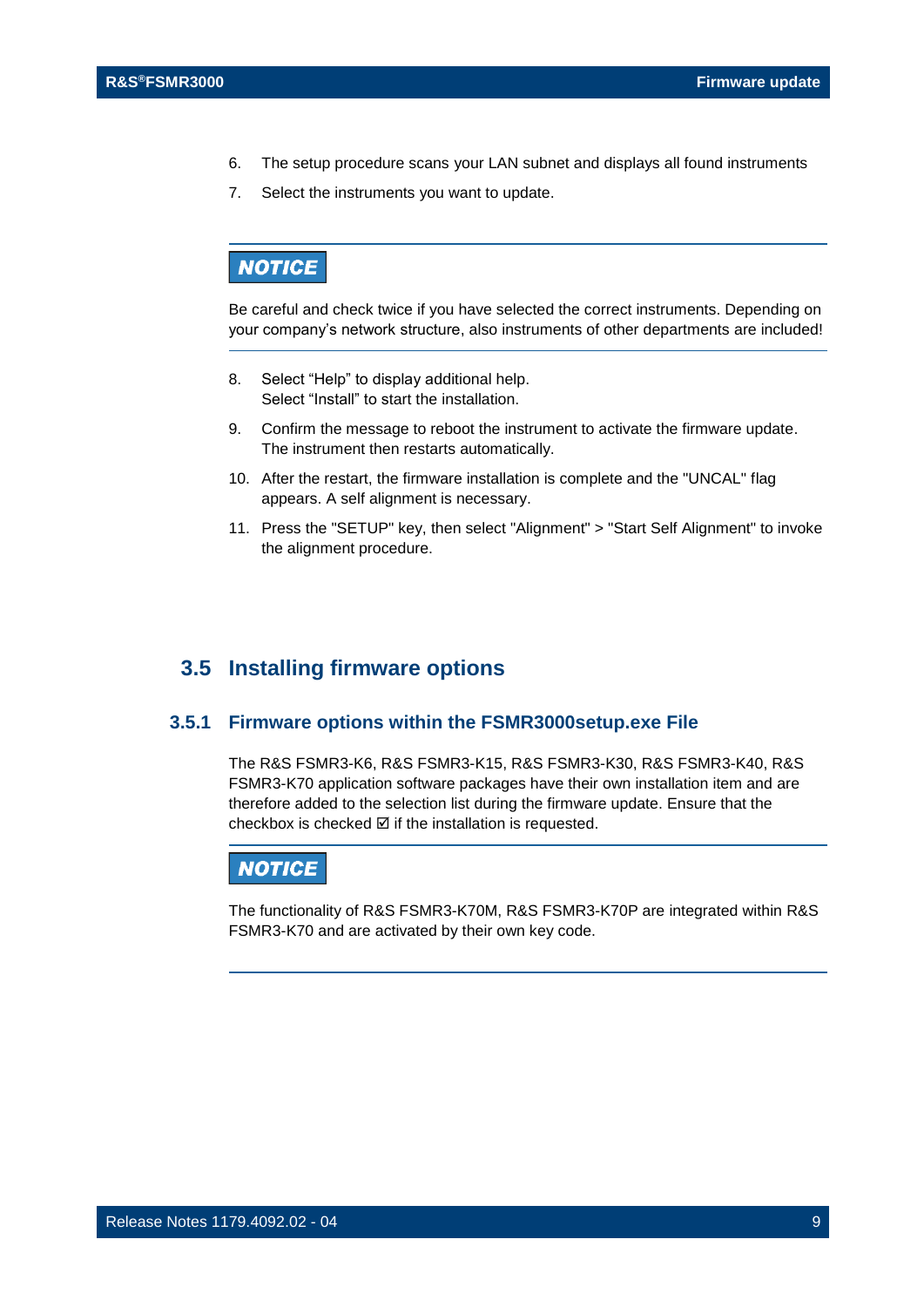- 6. The setup procedure scans your LAN subnet and displays all found instruments
- 7. Select the instruments you want to update.

## **NOTICE**

Be careful and check twice if you have selected the correct instruments. Depending on your company's network structure, also instruments of other departments are included!

- 8. Select "Help" to display additional help. Select "Install" to start the installation.
- 9. Confirm the message to reboot the instrument to activate the firmware update. The instrument then restarts automatically.
- 10. After the restart, the firmware installation is complete and the "UNCAL" flag appears. A self alignment is necessary.
- 11. Press the "SETUP" key, then select "Alignment" > "Start Self Alignment" to invoke the alignment procedure.

## <span id="page-8-0"></span>**3.5 Installing firmware options**

### **3.5.1 Firmware options within the FSMR3000setup.exe File**

<span id="page-8-1"></span>The R&S FSMR3-K6, R&S FSMR3-K15, R&S FSMR3-K30, R&S FSMR3-K40, R&S FSMR3-K70 application software packages have their own installation item and are therefore added to the selection list during the firmware update. Ensure that the checkbox is checked  $\boxtimes$  if the installation is requested.

### **NOTICE**

The functionality of R&S FSMR3-K70M, R&S FSMR3-K70P are integrated within R&S FSMR3-K70 and are activated by their own key code.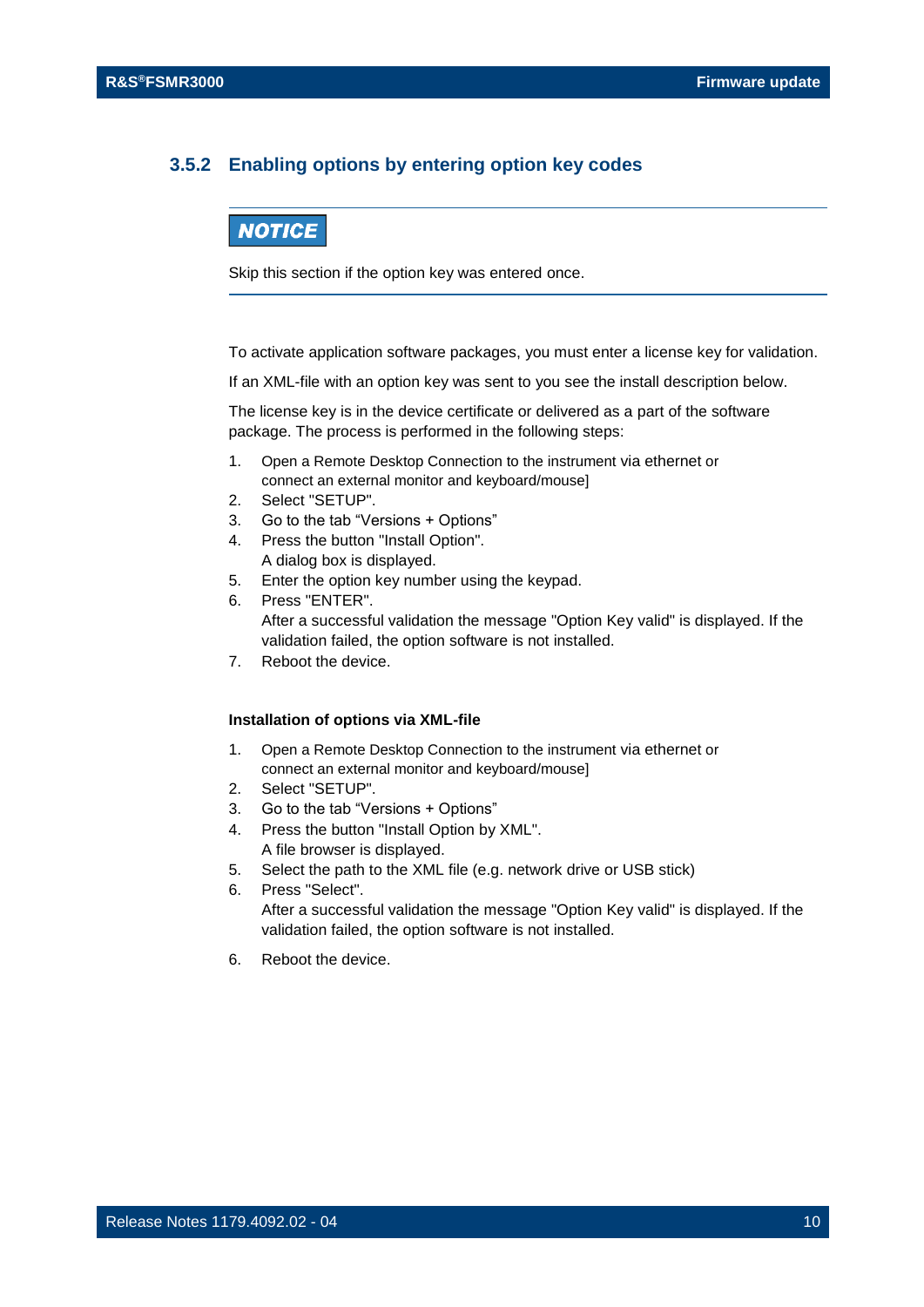### <span id="page-9-0"></span>**3.5.2 Enabling options by entering option key codes**

## **NOTICE**

Skip this section if the option key was entered once.

To activate application software packages, you must enter a license key for validation.

If an XML-file with an option key was sent to you see the install description below.

The license key is in the device certificate or delivered as a part of the software package. The process is performed in the following steps:

- 1. Open a Remote Desktop Connection to the instrument via ethernet or connect an external monitor and keyboard/mouse]
- 2. Select "SETUP".
- 3. Go to the tab "Versions + Options"
- 4. Press the button "Install Option". A dialog box is displayed.
- 5. Enter the option key number using the keypad.
- 6. Press "ENTER". After a successful validation the message "Option Key valid" is displayed. If the validation failed, the option software is not installed.
- 7. Reboot the device.

#### **Installation of options via XML-file**

- 1. Open a Remote Desktop Connection to the instrument via ethernet or connect an external monitor and keyboard/mouse]
- 2. Select "SETUP".
- 3. Go to the tab "Versions + Options"
- 4. Press the button "Install Option by XML". A file browser is displayed.
- 5. Select the path to the XML file (e.g. network drive or USB stick)
- 6. Press "Select". After a successful validation the message "Option Key valid" is displayed. If the validation failed, the option software is not installed.
- 6. Reboot the device.